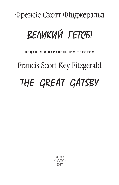### Френсіс Скотт Фіцджеральд

## ВЕЛИКИЙ ГЕТСБІ

#### ВИДАННЯ З ПАРАЛЕЛЬНИМ ТЕКСТОМ

# Francis Scott Key Fitzgerald THE GREAT GATSBY

Харків «ФОЛЮ» 2017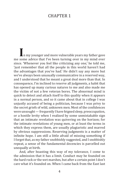### CHAPTER 1

**I**n my younger and more vulnerable years my father gave me some advice that I've been turning over in my mind ever since. 'Whenever you feel like criticizing any one,' he told me, 'just remember that all the people in this world haven't had the advantages that you've had.' He didn't say any more but we've always been unusually communicative in a reserved way, and I understood that he meant a great deal more than that. In consequence, I'm inclined to reserve all judgments, a habit that has opened up many curious natures to me and also made me the victim of not a few veteran bores. The abnormal mind is quick to detect and attach itself to this quality when it appears in a normal person, and so it came about that in college I was unjustly accused of being a politician, because I was privy to the secret griefs of wild, unknown men. Most of the confidences were unsought — frequently I have feigned sleep, preoccupation, or a hostile levity when I realized by some unmistakable sign that an intimate revelation was quivering on the horizon; for the intimate revelations of young men, or at least the terms in which they express them, are usually plagiaristic and marred by obvious suppressions. Reserving judgments is a matter of infinite hope. I am still a little afraid of missing something if I forget that, as my father snobbishly suggested, and I snobbishly repeat, a sense of the fundamental decencies is parcelled out unequally at birth.

 And, after boasting this way of my tolerance, I come to the admission that it has a limit. Conduct may be founded on the hard rock or the wet marshes, but after a certain point I don't care what it's founded on. When I came back from the East last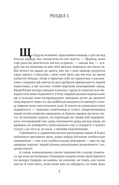### Розділ 1

**Щ**е будучи зеленим і вразливим юнаком, я дістав від батька пораду, яку запам'ятав на все життя. — Щоразу, коли тобі раптом захочеться когось осудити, — сказав він, — згадуй, що не кожному на цім світі випали переваги, які маєш ти. Він нічого не додав до цього, але ми з ним завжди розуміли один одного з півслова, і мені ясно було, що він має на думці набагато більше. Отож я привчив себе не квапитися з висновками і завдяки цій звичці не раз здобував прихильність людей пересічних, а ще частіше ставав жертвою невиправних зануд. Хвороблива натура швидко вловлює і зразу ж намагається використати вияв терпимості з боку людини цілком нормальної; ще в коледжі мені несправедливо закидали потяг до дешевої популярності через те, що найбільш вовкуваті й замкнуті хлопці звіряли мені свої потаємні жалі. Я зовсім не домагався такої відвертості — навпаки, помітивши в голосі співрозмовника перші нотки довірчих одкровень, я, бувало, вдавав, що хочу спати, чи поспішаю кудись, чи переходив на такий собі задерикувато-легковажний тон; адже, виливаючи душу, молоді люди, як правило, не добирають своїх власних слів, а говорять з чужого голосу і до того ж, на жаль, з явними недомовками.

Стриманість у судженнях вселяє невичерпну надію. Я й досі побоююся проґавити щось, якщо забуду батькове снобістське зауваження — яке я по-снобістському повторюю — про те, що природа наділяє людей різним розумінням дозволеного і недозволеного.

А тепер, похвалившись своєю терпимістю, я мушу зізнатися, що вона не безмежна. Поведінка людини може ґрунтуватися на засадах твердих, як камінь, чи хлипких, як твань, але часом настає й така мить, коли мене вже не обходить, на чому вона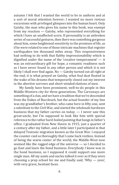autumn I felt that I wanted the world to be in uniform and at a sort of moral attention forever; I wanted no more riotous excursions with privileged glimpses into the human heart. Only Gatsby, the man who gives his name to this book, was exempt from my reaction — Gatsby, who represented everything for which I have an unaffected scorn. If personality is an unbroken series of successful gestures, then there was something gorgeous about him, some heightened sensitivity to the promises of life, as if he were related to one of those intricate machines that register earthquakes ten thousand miles away. This responsiveness had nothing to do with that flabby impressionability which is dignified under the name of the 'creative temperament' — it was an extraordinary gift for hope, a romantic readiness such as I have never found in any other person and which it is not likely I shall ever find again. No — Gatsby turned out all right at the end; it is what preyed on Gatsby, what foul dust floated in the wake of his dreams that temporarily closed out my interest in the abortive sorrows and short-winded elations of men.

My family have been prominent, well-to-do people in this Middle-Western city for three generations. The Carraways are something of a clan, and we have a tradition that we're descended from the Dukes of Buccleuch, but the actual founder of my line was my grandfather's brother, who came here in fifty-one, sent a substitute to the Civil War, and started the wholesale hardware business that my father carries on today. — I never saw this great-uncle, but I'm supposed to look like him with special reference to the rather hard-boiled painting that hangs in father's office. I graduated from New Haven in 1915, just a quarter of a century after my father, and a little later I participated in that delayed Teutonic migration known as the Great War. I enjoyed the counter-raid so thoroughly that I came back restless. Instead of being the warm center of the world, the Middle-West now seemed like the ragged edge of the universe — so I decided to go East and learn the bond business. Everybody I knew was in the bond business, so I supposed it could support one more single man. All my aunts and uncles talked it over as if they were choosing a prep school for me and finally said, 'Why — yees', with very grave, hesitant faces.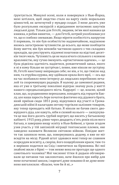ґрунтується. Минулої осені, коли я повернувся з Нью-Йорка, мені хотілося, щоб людство стало на варту своїх моральних цінностей, як затягнутий у мундир солдат. З мене досить уже було розгульних екскурсій з відвіданням потаємних закутків людської душі. Тільки для Гетсбі, людини, ім'ям якої названа ця книжка, я робив виняток, — для Гетсбі, котрий уособлював усе те, що я глибоко зневажаю. Якщо міряти особистість напругою її поривань, то він був особистістю надзвичайною, наділеною якоюсь загостреною чутливістю до всього, що може пообіцяти йому життя; він був немовби частиною одного з тих складних приладів, що реєструють підземні поштовхи на відстані десятків тисяч миль. Чутливість ця не мала нічого спільного з млявою вразливістю, яку гучно іменують «артистичною вдачею», — це була рідкісна здатність надіятися, романтичний запал, якого я ні в кому більше не зустрічав і, певне, вже ніколи не зустріну. Ні, Гетсбі наостанку виправдав себе; не він, а те, що тяжіло над ним, та отруйна курява, яку здіймали крила його мрії, — ось що на час позбавило мене інтересу до людських перебіжних печалей та скороминущих радощів. Я належу до заможної родини, яка от уже в третьому поколінні відіграє значну роль у житті нашого середньозахідного міста. Каррауеї — це, власне, цілий клан, що, за родинними переказами, походить від герцогів Баклу, але наша парость бере початок фактично від дідового брата, який приїхав сюди 1851 року, відкупився від участі в Громадянській війні й налагодив оптову торгівлю залізним товаром, яку тепер провадить мій батько. Я ніколи не бачив свого двоюрідного діда, але кажуть, ніби я схожий на нього — засвідчувати це має його досить грубий портрет, що висить у батьковому кабінеті. 1915 року, рівно через двадцять п'ять років після мого батька, я завершив вищу освіту в Нью-Хейвені, а трохи згодом узяв участь у тій запізнілій міграції тевтонських племен, яке заведено називати Великою світовою війною. Похідне життя так захопило мене, що, повернувшись додому, я вже не міг всидіти на місці. Рідний штат здавався мені тепер не славним осереддям всесвіту, а, скоріш, його пощербленим краєм; тим-то я вирішив податися на Схід і вивчитися на біржовика. Всі мої знайомі жили з біржі — тож невже вона не прогодує ще одного самотнього чоловіка? Мої численні тітки й дядьки обговорювали це питання так заклопотано, наче йшлося про вибір для мене початкової школи, і нарешті дуже поважно й не дуже впевнено виголосили: «Власне, чом би й ні...»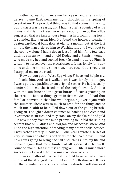Father agreed to finance me for a year, and after various delays I came East, permanently, I thought, in the spring of twenty-two. The practical thing was to find rooms in the city, but it was a warm season, and I had just left a country of wide lawns and friendly trees, so when a young man at the office suggested that we take a house together in a commuting town, it sounded like a great idea. He found the house, a weatherbeaten cardboard bungalow at eighty a month, but at the last minute the firm ordered him to Washington, and I went out to the country alone. I had a dog at least I had him for a few days until he ran away — and an old Dodge and a Finnish woman, who made my bed and cooked breakfast and muttered Finnish wisdom to herself over the electric stove. It was lonely for a day or so until one morning some man, more recently arrived than I, stopped me on the road.

'How do you get to West Egg village?' he asked helplessly.

I told him. And as I walked on I was lonely no longer. I was a guide, a pathfinder, an original settler. He had casually conferred on me the freedom of the neighborhood. And so with the sunshine and the great bursts of leaves growing on the trees  $-$  just as things grow in fast movies  $-$  I had that familiar conviction that life was beginning over again with the summer. There was so much to read for one thing, and so much fine health to be pulled down out of the young breathgiving air. I bought a dozen volumes on banking and credit and investment securities, and they stood on my shelf in red and gold like new money from the mint, promising to unfold the shining secrets that only Midas and Morgan and Maecenas knew. And I had the high intention of reading many other books besides. I was rather literary in college — one year I wrote a series of very solemn and obvious editorials for the 'Yale News' — and now I was going to bring back all such things into my life and become again that most limited of all specialists, the 'wellrounded man.' This isn't just an epigram — life is much more successfully looked at from a single window, after all.

It was a matter of chance that I should have rented a house in one of the strangest communities in North America. It was on that slender riotous island which extends itself due east